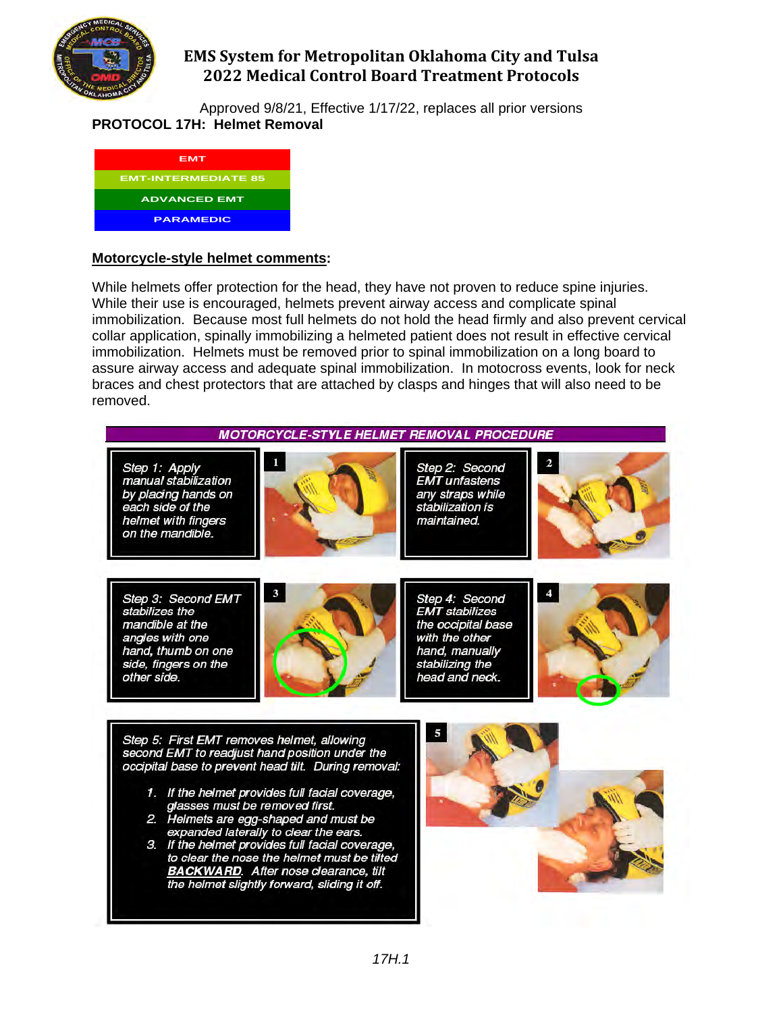

Approved 9/8/21, Effective 1/17/22, replaces all prior versions **PROTOCOL 17H: Helmet Removal**

| EMT                        |
|----------------------------|
| <b>EMT-INTERMEDIATE 85</b> |
| <b>ADVANCED EMT</b>        |
| <b>PARAMEDIC</b>           |

### **Motorcycle-style helmet comments:**

While helmets offer protection for the head, they have not proven to reduce spine injuries. While their use is encouraged, helmets prevent airway access and complicate spinal immobilization. Because most full helmets do not hold the head firmly and also prevent cervical collar application, spinally immobilizing a helmeted patient does not result in effective cervical immobilization. Helmets must be removed prior to spinal immobilization on a long board to assure airway access and adequate spinal immobilization. In motocross events, look for neck braces and chest protectors that are attached by clasps and hinges that will also need to be removed.

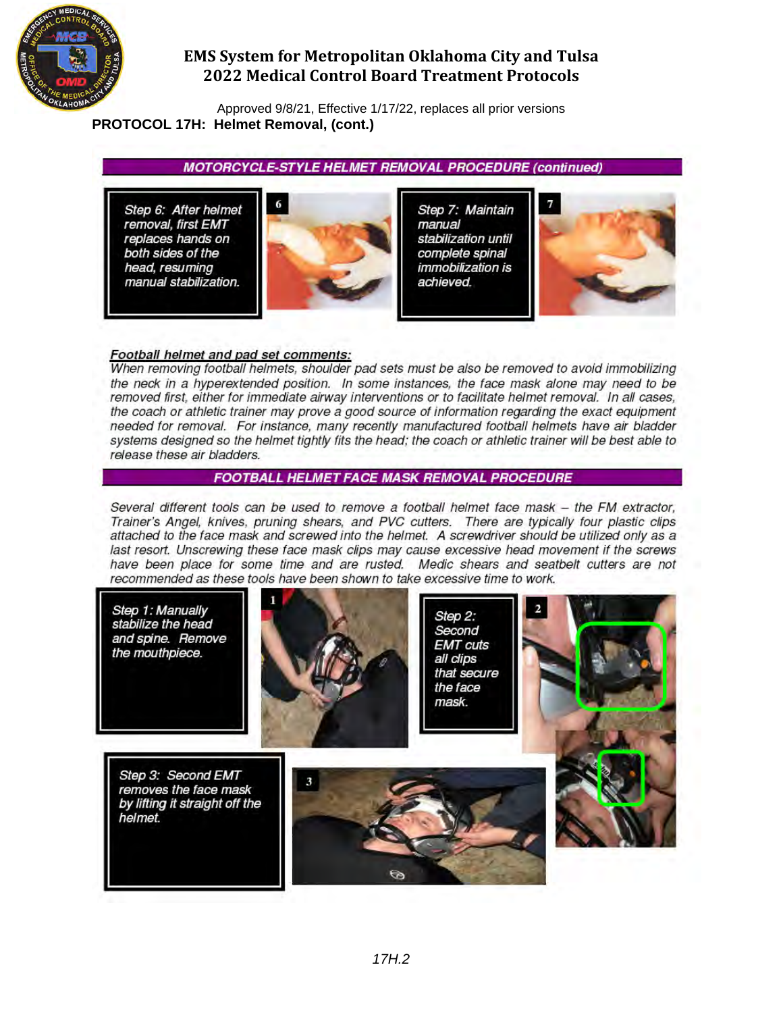

Approved 9/8/21, Effective 1/17/22, replaces all prior versions **PROTOCOL 17H: Helmet Removal, (cont.)** 

**MOTORCYCLE-STYLE HELMET REMOVAL PROCEDURE (continued)** 

Step 6: After helmet removal, first EMT replaces hands on both sides of the head, resuming<br>manual stabilization.



Step 7: Maintain manual stabilization until complete spinal *immobilization is* achieved.



#### Football helmet and pad set comments:

When removing football helmets, shoulder pad sets must be also be removed to avoid immobilizing the neck in a hyperextended position. In some instances, the face mask alone may need to be removed first, either for immediate airway interventions or to facilitate helmet removal. In all cases, the coach or athletic trainer may prove a good source of information regarding the exact equipment needed for removal. For instance, many recently manufactured football helmets have air bladder systems designed so the helmet tightly fits the head; the coach or athletic trainer will be best able to release these air bladders.

#### **FOOTBALL HELMET FACE MASK REMOVAL PROCEDURE**

Several different tools can be used to remove a football helmet face mask - the FM extractor, Trainer's Angel, knives, pruning shears, and PVC cutters. There are typically four plastic clips attached to the face mask and screwed into the helmet. A screwdriver should be utilized only as a last resort. Unscrewing these face mask clips may cause excessive head movement if the screws have been place for some time and are rusted. Medic shears and seatbelt cutters are not recommended as these tools have been shown to take excessive time to work.

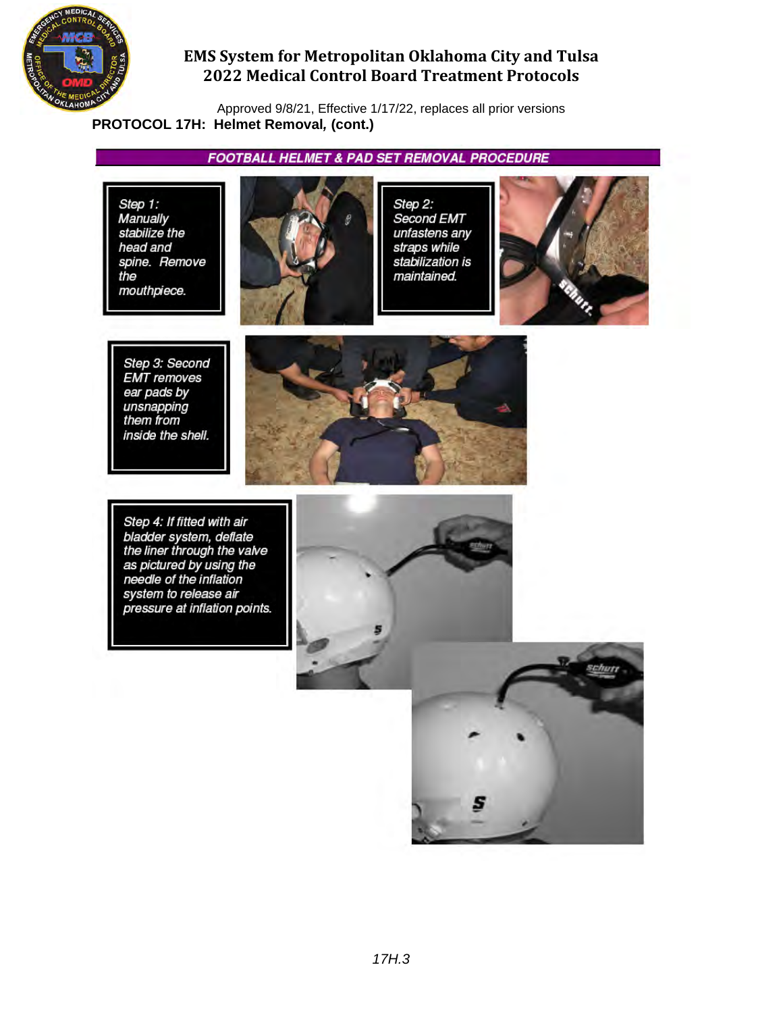

Approved 9/8/21, Effective 1/17/22, replaces all prior versions **PROTOCOL 17H: Helmet Removal***,* **(cont.)** 

**FOOTBALL HELMET & PAD SET REMOVAL PROCEDURE** 

Step 1: Manually stabilize the head and spine. Remove the mouthpiece.



Step 2: Second EMT unfastens any straps while stabilization is maintained.



Step 3: Second **EMT** removes ear pads by unsnapping<br>them from inside the shell.



Step 4: If fitted with air bladder system, deflate<br>the liner through the valve<br>as pictured by using the<br>needle of the inflation system to release air pressure at inflation points.



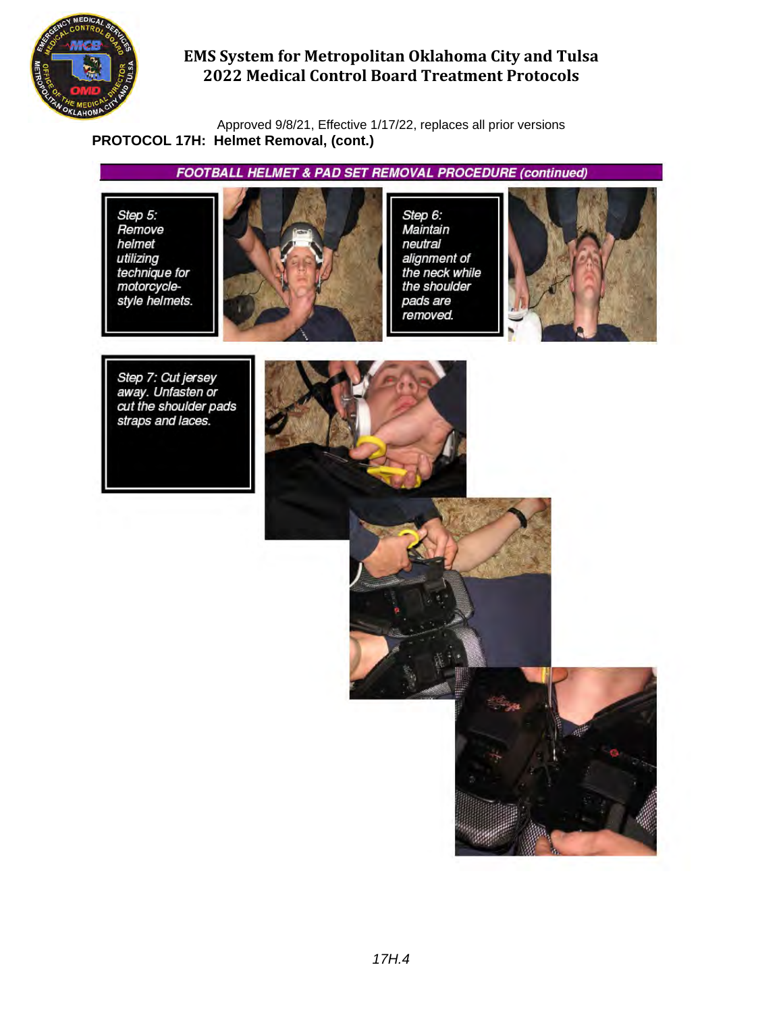

Approved 9/8/21, Effective 1/17/22, replaces all prior versions **PROTOCOL 17H: Helmet Removal, (cont.)**

**FOOTBALL HELMET & PAD SET REMOVAL PROCEDURE (continued)** 

Step 5: Remove helmet utilizing technique for<br>motorcyclestyle helmets.



Step 6: Maintain neutral alignment of the neck while the shoulder pads are removed.



Step 7: Cut jersey<br>away. Unfasten or<br>cut the shoulder pads straps and laces.